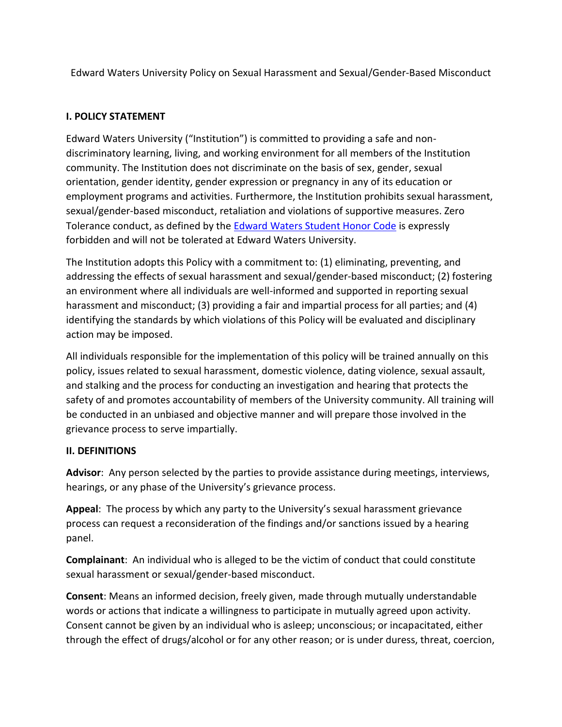Edward Waters University Policy on Sexual Harassment and Sexual/Gender-Based Misconduct

#### **I. POLICY STATEMENT**

Edward Waters University ("Institution") is committed to providing a safe and nondiscriminatory learning, living, and working environment for all members of the Institution community. The Institution does not discriminate on the basis of sex, gender, sexual orientation, gender identity, gender expression or pregnancy in any of its education or employment programs and activities. Furthermore, the Institution prohibits sexual harassment, sexual/gender-based misconduct, retaliation and violations of supportive measures. Zero Tolerance conduct, as defined by the **Edward [Waters Student Honor Code](https://online.flippingbook.com/view/643407/)** is expressly forbidden and will not be tolerated at Edward Waters University.

The Institution adopts this Policy with a commitment to: (1) eliminating, preventing, and addressing the effects of sexual harassment and sexual/gender-based misconduct; (2) fostering an environment where all individuals are well-informed and supported in reporting sexual harassment and misconduct; (3) providing a fair and impartial process for all parties; and (4) identifying the standards by which violations of this Policy will be evaluated and disciplinary action may be imposed.

All individuals responsible for the implementation of this policy will be trained annually on this policy, issues related to sexual harassment, domestic violence, dating violence, sexual assault, and stalking and the process for conducting an investigation and hearing that protects the safety of and promotes accountability of members of the University community. All training will be conducted in an unbiased and objective manner and will prepare those involved in the grievance process to serve impartially.

### **II. DEFINITIONS**

**Advisor**: Any person selected by the parties to provide assistance during meetings, interviews, hearings, or any phase of the University's grievance process.

**Appeal**: The process by which any party to the University's sexual harassment grievance process can request a reconsideration of the findings and/or sanctions issued by a hearing panel.

**Complainant**: An individual who is alleged to be the victim of conduct that could constitute sexual harassment or sexual/gender-based misconduct.

**Consent**: Means an informed decision, freely given, made through mutually understandable words or actions that indicate a willingness to participate in mutually agreed upon activity. Consent cannot be given by an individual who is asleep; unconscious; or incapacitated, either through the effect of drugs/alcohol or for any other reason; or is under duress, threat, coercion,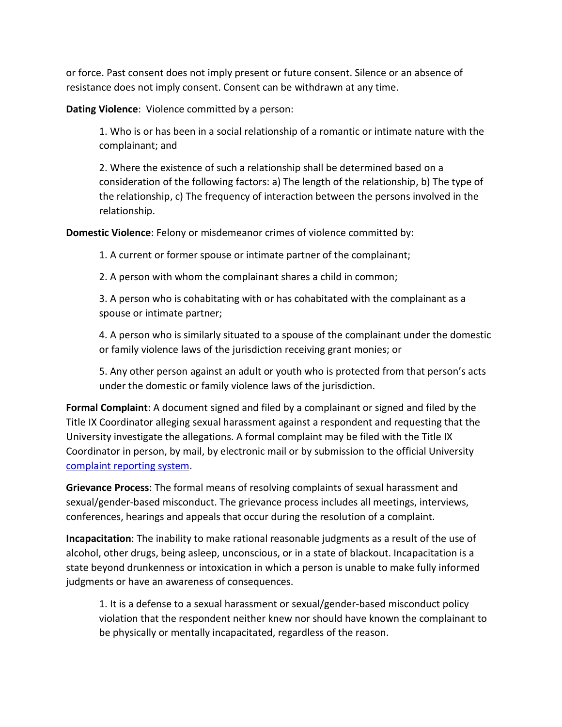or force. Past consent does not imply present or future consent. Silence or an absence of resistance does not imply consent. Consent can be withdrawn at any time.

**Dating Violence**: Violence committed by a person:

1. Who is or has been in a social relationship of a romantic or intimate nature with the complainant; and

2. Where the existence of such a relationship shall be determined based on a consideration of the following factors: a) The length of the relationship, b) The type of the relationship, c) The frequency of interaction between the persons involved in the relationship.

**Domestic Violence**: Felony or misdemeanor crimes of violence committed by:

1. A current or former spouse or intimate partner of the complainant;

2. A person with whom the complainant shares a child in common;

3. A person who is cohabitating with or has cohabitated with the complainant as a spouse or intimate partner;

4. A person who is similarly situated to a spouse of the complainant under the domestic or family violence laws of the jurisdiction receiving grant monies; or

5. Any other person against an adult or youth who is protected from that person's acts under the domestic or family violence laws of the jurisdiction.

**Formal Complaint**: A document signed and filed by a complainant or signed and filed by the Title IX Coordinator alleging sexual harassment against a respondent and requesting that the University investigate the allegations. A formal complaint may be filed with the Title IX Coordinator in person, by mail, by electronic mail or by submission to the official University [complaint reporting system.](https://forms.office.com/Pages/ResponsePage.aspx?id=ZsKAp2nFsEmsbBw9Uex2SuHiKLjvCDpPgS2cNkZNlzNUMUE4UlRFMU1NMTBGWTFNSVM4TU1SM1Y0Ui4u)

**Grievance Process**: The formal means of resolving complaints of sexual harassment and sexual/gender-based misconduct. The grievance process includes all meetings, interviews, conferences, hearings and appeals that occur during the resolution of a complaint.

**Incapacitation**: The inability to make rational reasonable judgments as a result of the use of alcohol, other drugs, being asleep, unconscious, or in a state of blackout. Incapacitation is a state beyond drunkenness or intoxication in which a person is unable to make fully informed judgments or have an awareness of consequences.

1. It is a defense to a sexual harassment or sexual/gender-based misconduct policy violation that the respondent neither knew nor should have known the complainant to be physically or mentally incapacitated, regardless of the reason.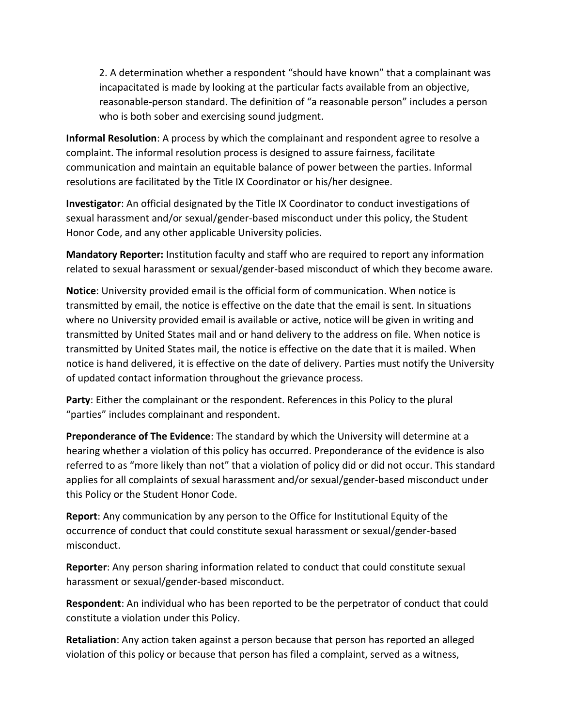2. A determination whether a respondent "should have known" that a complainant was incapacitated is made by looking at the particular facts available from an objective, reasonable-person standard. The definition of "a reasonable person" includes a person who is both sober and exercising sound judgment.

**Informal Resolution**: A process by which the complainant and respondent agree to resolve a complaint. The informal resolution process is designed to assure fairness, facilitate communication and maintain an equitable balance of power between the parties. Informal resolutions are facilitated by the Title IX Coordinator or his/her designee.

**Investigator**: An official designated by the Title IX Coordinator to conduct investigations of sexual harassment and/or sexual/gender-based misconduct under this policy, the Student Honor Code, and any other applicable University policies.

**Mandatory Reporter:** Institution faculty and staff who are required to report any information related to sexual harassment or sexual/gender-based misconduct of which they become aware.

**Notice**: University provided email is the official form of communication. When notice is transmitted by email, the notice is effective on the date that the email is sent. In situations where no University provided email is available or active, notice will be given in writing and transmitted by United States mail and or hand delivery to the address on file. When notice is transmitted by United States mail, the notice is effective on the date that it is mailed. When notice is hand delivered, it is effective on the date of delivery. Parties must notify the University of updated contact information throughout the grievance process.

**Party**: Either the complainant or the respondent. References in this Policy to the plural "parties" includes complainant and respondent.

**Preponderance of The Evidence**: The standard by which the University will determine at a hearing whether a violation of this policy has occurred. Preponderance of the evidence is also referred to as "more likely than not" that a violation of policy did or did not occur. This standard applies for all complaints of sexual harassment and/or sexual/gender-based misconduct under this Policy or the Student Honor Code.

**Report**: Any communication by any person to the Office for Institutional Equity of the occurrence of conduct that could constitute sexual harassment or sexual/gender-based misconduct.

**Reporter**: Any person sharing information related to conduct that could constitute sexual harassment or sexual/gender-based misconduct.

**Respondent**: An individual who has been reported to be the perpetrator of conduct that could constitute a violation under this Policy.

**Retaliation**: Any action taken against a person because that person has reported an alleged violation of this policy or because that person has filed a complaint, served as a witness,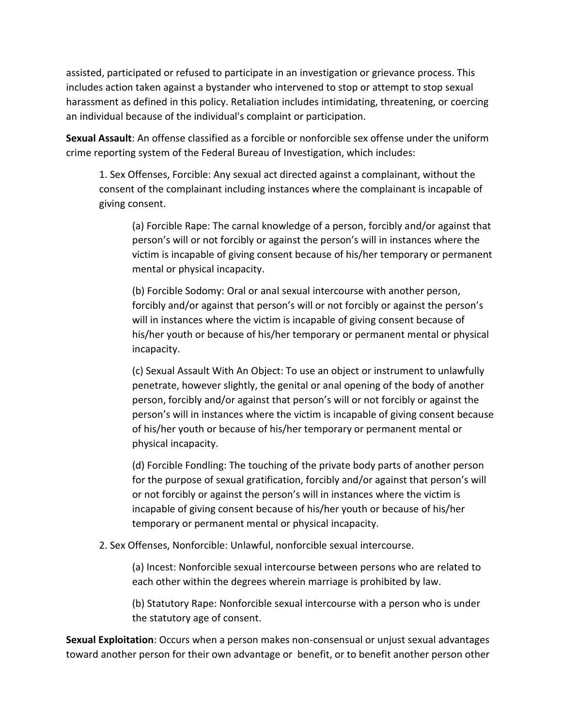assisted, participated or refused to participate in an investigation or grievance process. This includes action taken against a bystander who intervened to stop or attempt to stop sexual harassment as defined in this policy. Retaliation includes intimidating, threatening, or coercing an individual because of the individual's complaint or participation.

**Sexual Assault**: An offense classified as a forcible or nonforcible sex offense under the uniform crime reporting system of the Federal Bureau of Investigation, which includes:

1. Sex Offenses, Forcible: Any sexual act directed against a complainant, without the consent of the complainant including instances where the complainant is incapable of giving consent.

(a) Forcible Rape: The carnal knowledge of a person, forcibly and/or against that person's will or not forcibly or against the person's will in instances where the victim is incapable of giving consent because of his/her temporary or permanent mental or physical incapacity.

(b) Forcible Sodomy: Oral or anal sexual intercourse with another person, forcibly and/or against that person's will or not forcibly or against the person's will in instances where the victim is incapable of giving consent because of his/her youth or because of his/her temporary or permanent mental or physical incapacity.

(c) Sexual Assault With An Object: To use an object or instrument to unlawfully penetrate, however slightly, the genital or anal opening of the body of another person, forcibly and/or against that person's will or not forcibly or against the person's will in instances where the victim is incapable of giving consent because of his/her youth or because of his/her temporary or permanent mental or physical incapacity.

(d) Forcible Fondling: The touching of the private body parts of another person for the purpose of sexual gratification, forcibly and/or against that person's will or not forcibly or against the person's will in instances where the victim is incapable of giving consent because of his/her youth or because of his/her temporary or permanent mental or physical incapacity.

2. Sex Offenses, Nonforcible: Unlawful, nonforcible sexual intercourse.

(a) Incest: Nonforcible sexual intercourse between persons who are related to each other within the degrees wherein marriage is prohibited by law.

(b) Statutory Rape: Nonforcible sexual intercourse with a person who is under the statutory age of consent.

**Sexual Exploitation**: Occurs when a person makes non-consensual or unjust sexual advantages toward another person for their own advantage or benefit, or to benefit another person other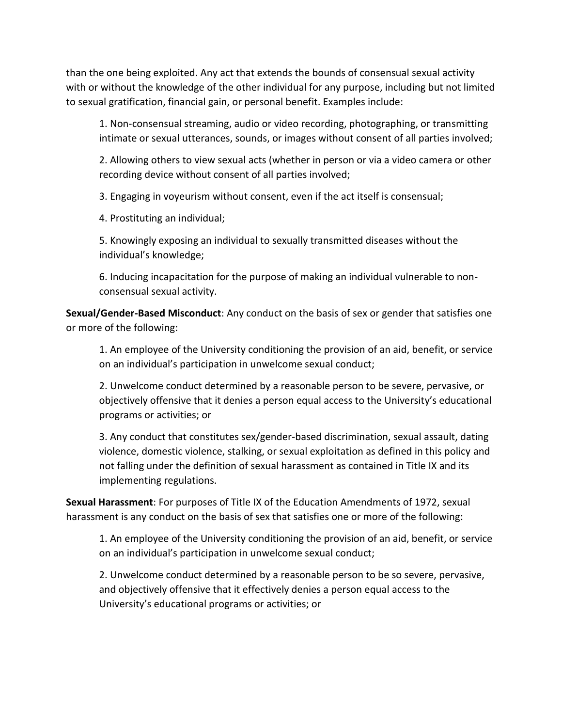than the one being exploited. Any act that extends the bounds of consensual sexual activity with or without the knowledge of the other individual for any purpose, including but not limited to sexual gratification, financial gain, or personal benefit. Examples include:

1. Non-consensual streaming, audio or video recording, photographing, or transmitting intimate or sexual utterances, sounds, or images without consent of all parties involved;

2. Allowing others to view sexual acts (whether in person or via a video camera or other recording device without consent of all parties involved;

3. Engaging in voyeurism without consent, even if the act itself is consensual;

4. Prostituting an individual;

5. Knowingly exposing an individual to sexually transmitted diseases without the individual's knowledge;

6. Inducing incapacitation for the purpose of making an individual vulnerable to nonconsensual sexual activity.

**Sexual/Gender-Based Misconduct**: Any conduct on the basis of sex or gender that satisfies one or more of the following:

1. An employee of the University conditioning the provision of an aid, benefit, or service on an individual's participation in unwelcome sexual conduct;

2. Unwelcome conduct determined by a reasonable person to be severe, pervasive, or objectively offensive that it denies a person equal access to the University's educational programs or activities; or

3. Any conduct that constitutes sex/gender-based discrimination, sexual assault, dating violence, domestic violence, stalking, or sexual exploitation as defined in this policy and not falling under the definition of sexual harassment as contained in Title IX and its implementing regulations.

**Sexual Harassment**: For purposes of Title IX of the Education Amendments of 1972, sexual harassment is any conduct on the basis of sex that satisfies one or more of the following:

1. An employee of the University conditioning the provision of an aid, benefit, or service on an individual's participation in unwelcome sexual conduct;

2. Unwelcome conduct determined by a reasonable person to be so severe, pervasive, and objectively offensive that it effectively denies a person equal access to the University's educational programs or activities; or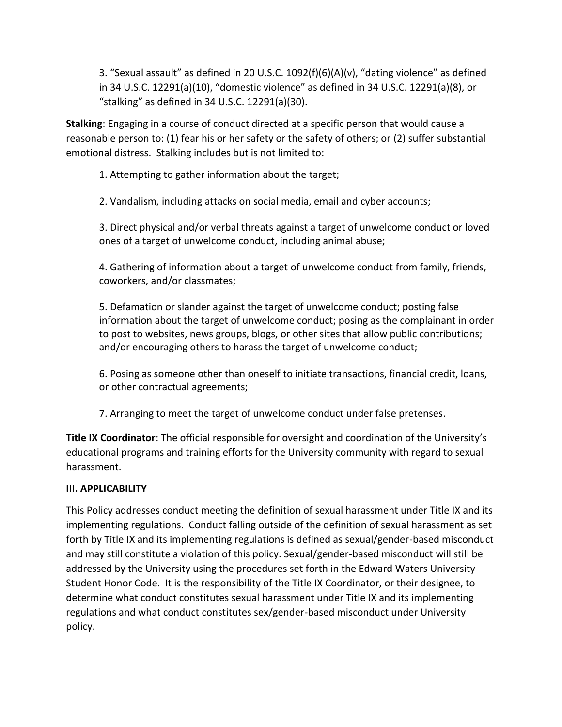3. "Sexual assault" as defined in 20 U.S.C. 1092(f)(6)(A)(v), "dating violence" as defined in 34 U.S.C. 12291(a)(10), "domestic violence" as defined in 34 U.S.C. 12291(a)(8), or "stalking" as defined in 34 U.S.C. 12291(a)(30).

**Stalking**: Engaging in a course of conduct directed at a specific person that would cause a reasonable person to: (1) fear his or her safety or the safety of others; or (2) suffer substantial emotional distress. Stalking includes but is not limited to:

1. Attempting to gather information about the target; 

2. Vandalism, including attacks on social media, email and cyber accounts; 

3. Direct physical and/or verbal threats against a target of unwelcome conduct or loved ones of a target of unwelcome conduct, including animal abuse; 

4. Gathering of information about a target of unwelcome conduct from family, friends, coworkers, and/or classmates;

5. Defamation or slander against the target of unwelcome conduct; posting false information about the target of unwelcome conduct; posing as the complainant in order to post to websites, news groups, blogs, or other sites that allow public contributions; and/or encouraging others to harass the target of unwelcome conduct; 

6. Posing as someone other than oneself to initiate transactions, financial credit, loans, or other contractual agreements; 

7. Arranging to meet the target of unwelcome conduct under false pretenses.

**Title IX Coordinator**: The official responsible for oversight and coordination of the University's educational programs and training efforts for the University community with regard to sexual harassment.

### **III. APPLICABILITY**

This Policy addresses conduct meeting the definition of sexual harassment under Title IX and its implementing regulations. Conduct falling outside of the definition of sexual harassment as set forth by Title IX and its implementing regulations is defined as sexual/gender-based misconduct and may still constitute a violation of this policy. Sexual/gender-based misconduct will still be addressed by the University using the procedures set forth in the Edward Waters University Student Honor Code. It is the responsibility of the Title IX Coordinator, or their designee, to determine what conduct constitutes sexual harassment under Title IX and its implementing regulations and what conduct constitutes sex/gender-based misconduct under University policy.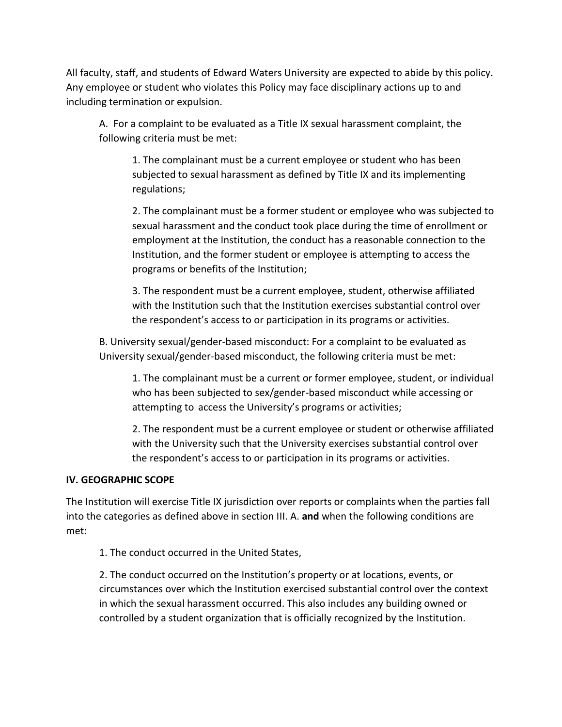All faculty, staff, and students of Edward Waters University are expected to abide by this policy. Any employee or student who violates this Policy may face disciplinary actions up to and including termination or expulsion.

A. For a complaint to be evaluated as a Title IX sexual harassment complaint, the following criteria must be met:

1. The complainant must be a current employee or student who has been subjected to sexual harassment as defined by Title IX and its implementing regulations;

2. The complainant must be a former student or employee who was subjected to sexual harassment and the conduct took place during the time of enrollment or employment at the Institution, the conduct has a reasonable connection to the Institution, and the former student or employee is attempting to access the programs or benefits of the Institution;

3. The respondent must be a current employee, student, otherwise affiliated with the Institution such that the Institution exercises substantial control over the respondent's access to or participation in its programs or activities.

B. University sexual/gender-based misconduct: For a complaint to be evaluated as University sexual/gender-based misconduct, the following criteria must be met:

1. The complainant must be a current or former employee, student, or individual who has been subjected to sex/gender-based misconduct while accessing or attempting to access the University's programs or activities;

2. The respondent must be a current employee or student or otherwise affiliated with the University such that the University exercises substantial control over the respondent's access to or participation in its programs or activities.

### **IV. GEOGRAPHIC SCOPE**

The Institution will exercise Title IX jurisdiction over reports or complaints when the parties fall into the categories as defined above in section III. A. **and** when the following conditions are met:

1. The conduct occurred in the United States,

2. The conduct occurred on the Institution's property or at locations, events, or circumstances over which the Institution exercised substantial control over the context in which the sexual harassment occurred. This also includes any building owned or controlled by a student organization that is officially recognized by the Institution.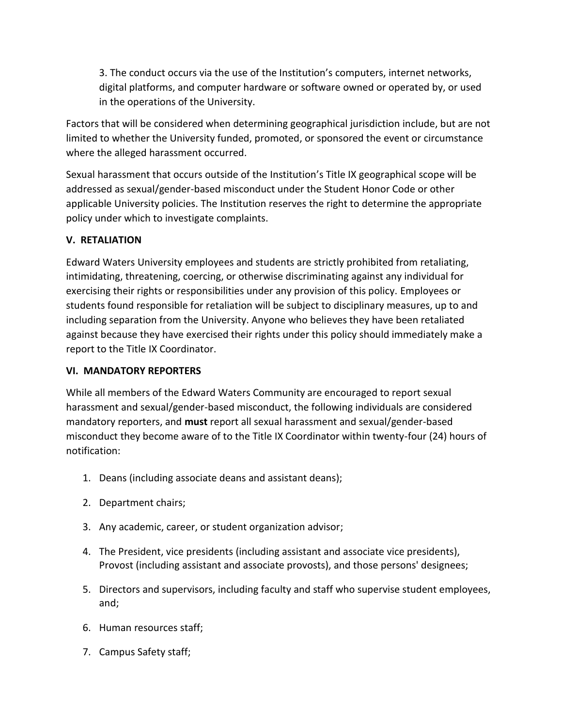3. The conduct occurs via the use of the Institution's computers, internet networks, digital platforms, and computer hardware or software owned or operated by, or used in the operations of the University.

Factors that will be considered when determining geographical jurisdiction include, but are not limited to whether the University funded, promoted, or sponsored the event or circumstance where the alleged harassment occurred.

Sexual harassment that occurs outside of the Institution's Title IX geographical scope will be addressed as sexual/gender-based misconduct under the Student Honor Code or other applicable University policies. The Institution reserves the right to determine the appropriate policy under which to investigate complaints.

# **V. RETALIATION**

Edward Waters University employees and students are strictly prohibited from retaliating, intimidating, threatening, coercing, or otherwise discriminating against any individual for exercising their rights or responsibilities under any provision of this policy. Employees or students found responsible for retaliation will be subject to disciplinary measures, up to and including separation from the University. Anyone who believes they have been retaliated against because they have exercised their rights under this policy should immediately make a report to the Title IX Coordinator.

### **VI. MANDATORY REPORTERS**

While all members of the Edward Waters Community are encouraged to report sexual harassment and sexual/gender-based misconduct, the following individuals are considered mandatory reporters, and **must** report all sexual harassment and sexual/gender-based misconduct they become aware of to the Title IX Coordinator within twenty-four (24) hours of notification:

- 1. Deans (including associate deans and assistant deans);
- 2. Department chairs;
- 3. Any academic, career, or student organization advisor;
- 4. The President, vice presidents (including assistant and associate vice presidents), Provost (including assistant and associate provosts), and those persons' designees;
- 5. Directors and supervisors, including faculty and staff who supervise student employees, and;
- 6. Human resources staff;
- 7. Campus Safety staff;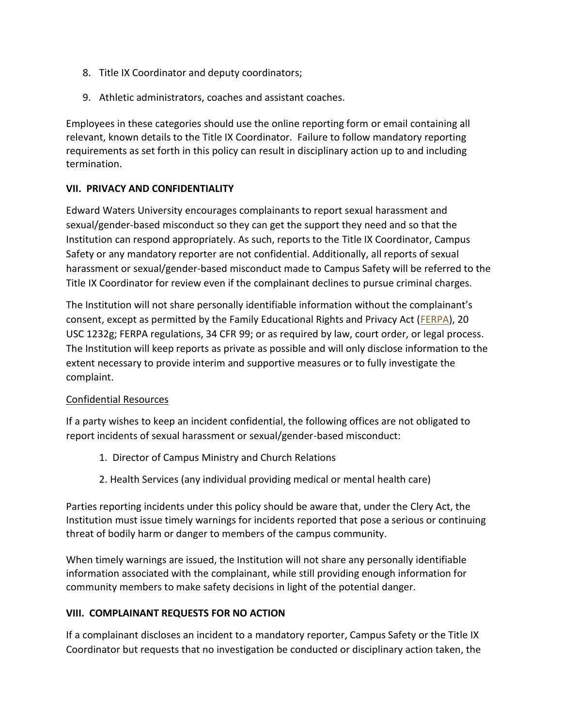- 8. Title IX Coordinator and deputy coordinators;
- 9. Athletic administrators, coaches and assistant coaches.

Employees in these categories should use the online reporting form or email containing all relevant, known details to the Title IX Coordinator. Failure to follow mandatory reporting requirements as set forth in this policy can result in disciplinary action up to and including termination.

### **VII. PRIVACY AND CONFIDENTIALITY**

Edward Waters University encourages complainants to report sexual harassment and sexual/gender-based misconduct so they can get the support they need and so that the Institution can respond appropriately. As such, reports to the Title IX Coordinator, Campus Safety or any mandatory reporter are not confidential. Additionally, all reports of sexual harassment or sexual/gender-based misconduct made to Campus Safety will be referred to the Title IX Coordinator for review even if the complainant declines to pursue criminal charges.

The Institution will not share personally identifiable information without the complainant's consent, except as permitted by the Family Educational Rights and Privacy Act ( $FERPA$ ), 20 USC 1232g; FERPA regulations, 34 CFR 99; or as required by law, court order, or legal process. The Institution will keep reports as private as possible and will only disclose information to the extent necessary to provide interim and supportive measures or to fully investigate the complaint.

### Confidential Resources

If a party wishes to keep an incident confidential, the following offices are not obligated to report incidents of sexual harassment or sexual/gender-based misconduct:

- 1. Director of Campus Ministry and Church Relations
- 2. Health Services (any individual providing medical or mental health care)

Parties reporting incidents under this policy should be aware that, under the Clery Act, the Institution must issue timely warnings for incidents reported that pose a serious or continuing threat of bodily harm or danger to members of the campus community.

When timely warnings are issued, the Institution will not share any personally identifiable information associated with the complainant, while still providing enough information for community members to make safety decisions in light of the potential danger.

### **VIII. COMPLAINANT REQUESTS FOR NO ACTION**

If a complainant discloses an incident to a mandatory reporter, Campus Safety or the Title IX Coordinator but requests that no investigation be conducted or disciplinary action taken, the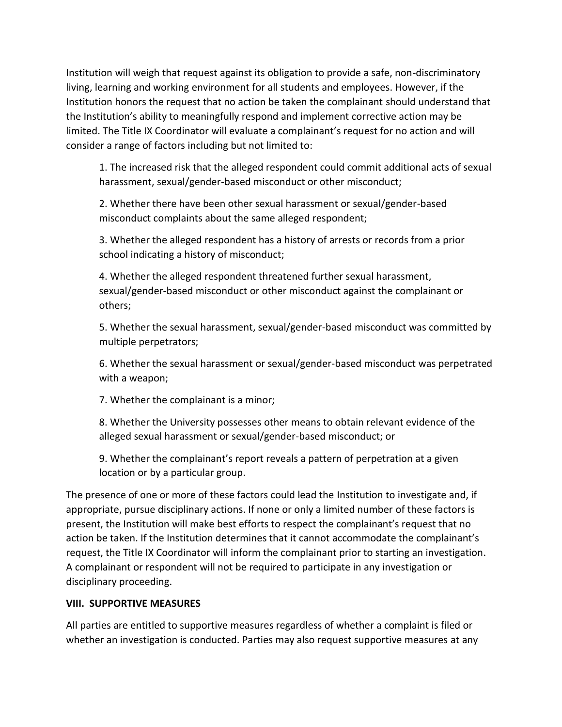Institution will weigh that request against its obligation to provide a safe, non-discriminatory living, learning and working environment for all students and employees. However, if the Institution honors the request that no action be taken the complainant should understand that the Institution's ability to meaningfully respond and implement corrective action may be limited. The Title IX Coordinator will evaluate a complainant's request for no action and will consider a range of factors including but not limited to:

1. The increased risk that the alleged respondent could commit additional acts of sexual harassment, sexual/gender-based misconduct or other misconduct;

2. Whether there have been other sexual harassment or sexual/gender-based misconduct complaints about the same alleged respondent;

3. Whether the alleged respondent has a history of arrests or records from a prior school indicating a history of misconduct;

4. Whether the alleged respondent threatened further sexual harassment, sexual/gender-based misconduct or other misconduct against the complainant or others;

5. Whether the sexual harassment, sexual/gender-based misconduct was committed by multiple perpetrators;

6. Whether the sexual harassment or sexual/gender-based misconduct was perpetrated with a weapon;

7. Whether the complainant is a minor;

8. Whether the University possesses other means to obtain relevant evidence of the alleged sexual harassment or sexual/gender-based misconduct; or

9. Whether the complainant's report reveals a pattern of perpetration at a given location or by a particular group.

The presence of one or more of these factors could lead the Institution to investigate and, if appropriate, pursue disciplinary actions. If none or only a limited number of these factors is present, the Institution will make best efforts to respect the complainant's request that no action be taken. If the Institution determines that it cannot accommodate the complainant's request, the Title IX Coordinator will inform the complainant prior to starting an investigation. A complainant or respondent will not be required to participate in any investigation or disciplinary proceeding.

#### **VIII. SUPPORTIVE MEASURES**

All parties are entitled to supportive measures regardless of whether a complaint is filed or whether an investigation is conducted. Parties may also request supportive measures at any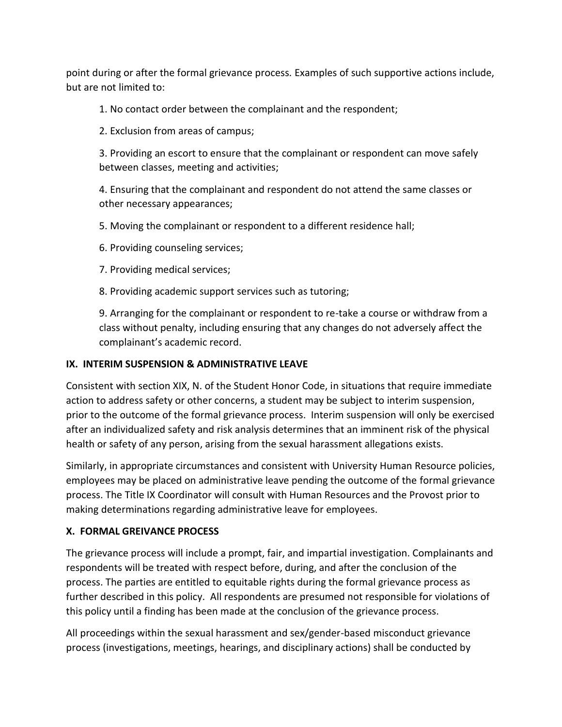point during or after the formal grievance process. Examples of such supportive actions include, but are not limited to:

1. No contact order between the complainant and the respondent;

2. Exclusion from areas of campus;

3. Providing an escort to ensure that the complainant or respondent can move safely between classes, meeting and activities;

4. Ensuring that the complainant and respondent do not attend the same classes or other necessary appearances;

5. Moving the complainant or respondent to a different residence hall;

- 6. Providing counseling services;
- 7. Providing medical services;
- 8. Providing academic support services such as tutoring;

9. Arranging for the complainant or respondent to re-take a course or withdraw from a class without penalty, including ensuring that any changes do not adversely affect the complainant's academic record.

## **IX. INTERIM SUSPENSION & ADMINISTRATIVE LEAVE**

Consistent with section XIX, N. of the Student Honor Code, in situations that require immediate action to address safety or other concerns, a student may be subject to interim suspension, prior to the outcome of the formal grievance process. Interim suspension will only be exercised after an individualized safety and risk analysis determines that an imminent risk of the physical health or safety of any person, arising from the sexual harassment allegations exists.

Similarly, in appropriate circumstances and consistent with University Human Resource policies, employees may be placed on administrative leave pending the outcome of the formal grievance process. The Title IX Coordinator will consult with Human Resources and the Provost prior to making determinations regarding administrative leave for employees.

### **X. FORMAL GREIVANCE PROCESS**

The grievance process will include a prompt, fair, and impartial investigation. Complainants and respondents will be treated with respect before, during, and after the conclusion of the process. The parties are entitled to equitable rights during the formal grievance process as further described in this policy. All respondents are presumed not responsible for violations of this policy until a finding has been made at the conclusion of the grievance process.

All proceedings within the sexual harassment and sex/gender-based misconduct grievance process (investigations, meetings, hearings, and disciplinary actions) shall be conducted by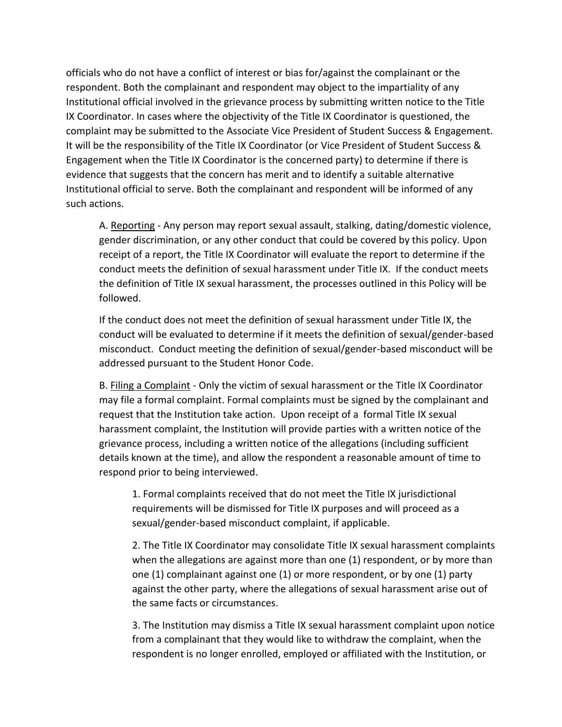officials who do not have a conflict of interest or bias for/against the complainant or the respondent. Both the complainant and respondent may object to the impartiality of any Institutional official involved in the grievance process by submitting written notice to the Title IX Coordinator. In cases where the objectivity of the Title IX Coordinator is questioned, the complaint may be submitted to the Associate Vice President of Student Success & Engagement. It will be the responsibility of the Title IX Coordinator (or Vice President of Student Success & Engagement when the Title IX Coordinator is the concerned party) to determine if there is evidence that suggests that the concern has merit and to identify a suitable alternative Institutional official to serve. Both the complainant and respondent will be informed of any such actions.

A. Reporting - Any person may report sexual assault, stalking, dating/domestic violence, gender discrimination, or any other conduct that could be covered by this policy. Upon receipt of a report, the Title IX Coordinator will evaluate the report to determine if the conduct meets the definition of sexual harassment under Title IX. If the conduct meets the definition of Title IX sexual harassment, the processes outlined in this Policy will be followed.

If the conduct does not meet the definition of sexual harassment under Title IX, the conduct will be evaluated to determine if it meets the definition of sexual/gender-based misconduct. Conduct meeting the definition of sexual/gender-based misconduct will be addressed pursuant to the Student Honor Code.

B. Filing a Complaint - Only the victim of sexual harassment or the Title IX Coordinator may file a formal complaint. Formal complaints must be signed by the complainant and request that the Institution take action. Upon receipt of a formal Title IX sexual harassment complaint, the Institution will provide parties with a written notice of the grievance process, including a written notice of the allegations (including sufficient details known at the time), and allow the respondent a reasonable amount of time to respond prior to being interviewed.

1. Formal complaints received that do not meet the Title IX jurisdictional requirements will be dismissed for Title IX purposes and will proceed as a sexual/gender-based misconduct complaint, if applicable.

2. The Title IX Coordinator may consolidate Title IX sexual harassment complaints when the allegations are against more than one (1) respondent, or by more than one (1) complainant against one (1) or more respondent, or by one (1) party against the other party, where the allegations of sexual harassment arise out of the same facts or circumstances.

3. The Institution may dismiss a Title IX sexual harassment complaint upon notice from a complainant that they would like to withdraw the complaint, when the respondent is no longer enrolled, employed or affiliated with the Institution, or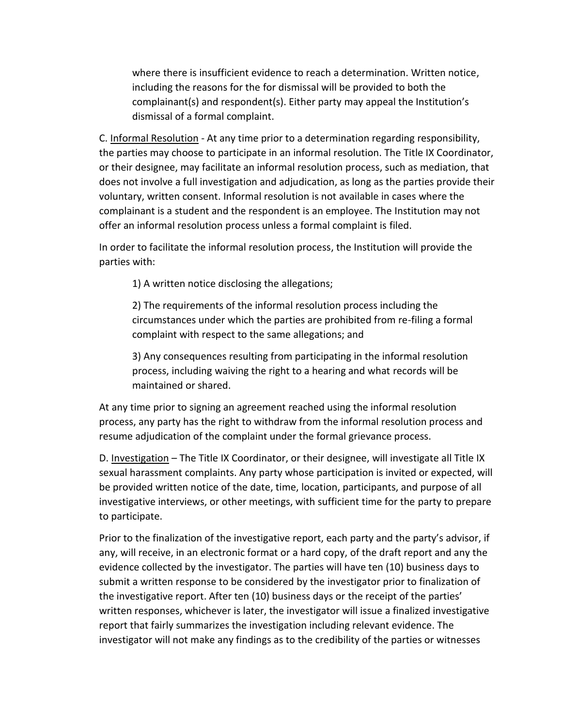where there is insufficient evidence to reach a determination. Written notice, including the reasons for the for dismissal will be provided to both the complainant(s) and respondent(s). Either party may appeal the Institution's dismissal of a formal complaint.

C. Informal Resolution - At any time prior to a determination regarding responsibility, the parties may choose to participate in an informal resolution. The Title IX Coordinator, or their designee, may facilitate an informal resolution process, such as mediation, that does not involve a full investigation and adjudication, as long as the parties provide their voluntary, written consent. Informal resolution is not available in cases where the complainant is a student and the respondent is an employee. The Institution may not offer an informal resolution process unless a formal complaint is filed.

In order to facilitate the informal resolution process, the Institution will provide the parties with:

1) A written notice disclosing the allegations;

2) The requirements of the informal resolution process including the circumstances under which the parties are prohibited from re-filing a formal complaint with respect to the same allegations; and

3) Any consequences resulting from participating in the informal resolution process, including waiving the right to a hearing and what records will be maintained or shared.

At any time prior to signing an agreement reached using the informal resolution process, any party has the right to withdraw from the informal resolution process and resume adjudication of the complaint under the formal grievance process.

D. Investigation – The Title IX Coordinator, or their designee, will investigate all Title IX sexual harassment complaints. Any party whose participation is invited or expected, will be provided written notice of the date, time, location, participants, and purpose of all investigative interviews, or other meetings, with sufficient time for the party to prepare to participate.

Prior to the finalization of the investigative report, each party and the party's advisor, if any, will receive, in an electronic format or a hard copy, of the draft report and any the evidence collected by the investigator. The parties will have ten (10) business days to submit a written response to be considered by the investigator prior to finalization of the investigative report. After ten (10) business days or the receipt of the parties' written responses, whichever is later, the investigator will issue a finalized investigative report that fairly summarizes the investigation including relevant evidence. The investigator will not make any findings as to the credibility of the parties or witnesses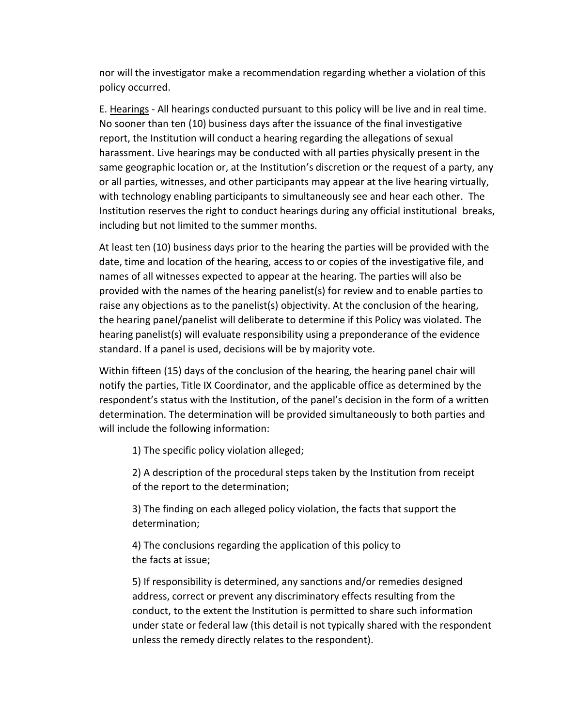nor will the investigator make a recommendation regarding whether a violation of this policy occurred.

E. Hearings - All hearings conducted pursuant to this policy will be live and in real time. No sooner than ten (10) business days after the issuance of the final investigative report, the Institution will conduct a hearing regarding the allegations of sexual harassment. Live hearings may be conducted with all parties physically present in the same geographic location or, at the Institution's discretion or the request of a party, any or all parties, witnesses, and other participants may appear at the live hearing virtually, with technology enabling participants to simultaneously see and hear each other. The Institution reserves the right to conduct hearings during any official institutional breaks, including but not limited to the summer months.

At least ten (10) business days prior to the hearing the parties will be provided with the date, time and location of the hearing, access to or copies of the investigative file, and names of all witnesses expected to appear at the hearing. The parties will also be provided with the names of the hearing panelist(s) for review and to enable parties to raise any objections as to the panelist(s) objectivity. At the conclusion of the hearing, the hearing panel/panelist will deliberate to determine if this Policy was violated. The hearing panelist(s) will evaluate responsibility using a preponderance of the evidence standard. If a panel is used, decisions will be by majority vote.

Within fifteen (15) days of the conclusion of the hearing, the hearing panel chair will notify the parties, Title IX Coordinator, and the applicable office as determined by the respondent's status with the Institution, of the panel's decision in the form of a written determination. The determination will be provided simultaneously to both parties and will include the following information:

1) The specific policy violation alleged;

2) A description of the procedural steps taken by the Institution from receipt of the report to the determination;

3) The finding on each alleged policy violation, the facts that support the determination;

4) The conclusions regarding the application of this policy to the facts at issue;

5) If responsibility is determined, any sanctions and/or remedies designed address, correct or prevent any discriminatory effects resulting from the conduct, to the extent the Institution is permitted to share such information under state or federal law (this detail is not typically shared with the respondent unless the remedy directly relates to the respondent).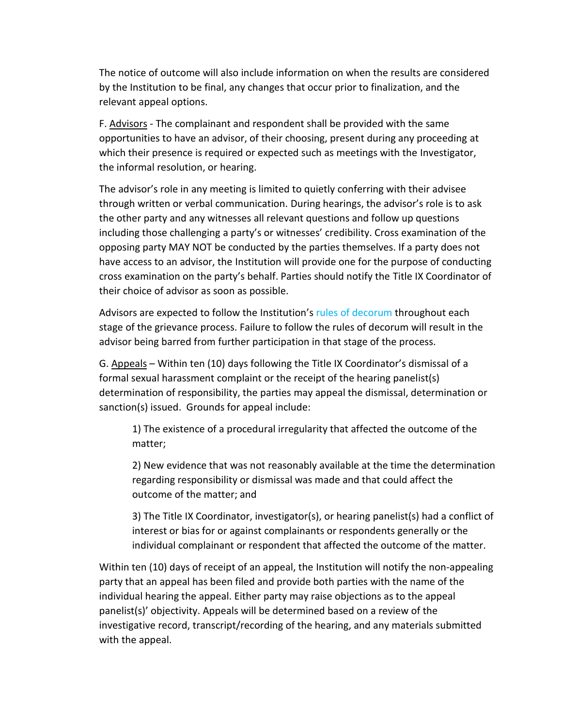The notice of outcome will also include information on when the results are considered by the Institution to be final, any changes that occur prior to finalization, and the relevant appeal options.

F. Advisors - The complainant and respondent shall be provided with the same opportunities to have an advisor, of their choosing, present during any proceeding at which their presence is required or expected such as meetings with the Investigator, the informal resolution, or hearing.

The advisor's role in any meeting is limited to quietly conferring with their advisee through written or verbal communication. During hearings, the advisor's role is to ask the other party and any witnesses all relevant questions and follow up questions including those challenging a party's or witnesses' credibility. Cross examination of the opposing party MAY NOT be conducted by the parties themselves. If a party does not have access to an advisor, the Institution will provide one for the purpose of conducting cross examination on the party's behalf. Parties should notify the Title IX Coordinator of their choice of advisor as soon as possible.

Advisors are expected to follow the Institution's rules of decorum throughout each stage of the grievance process. Failure to follow the rules of decorum will result in the advisor being barred from further participation in that stage of the process.

G. Appeals – Within ten (10) days following the Title IX Coordinator's dismissal of a formal sexual harassment complaint or the receipt of the hearing panelist(s) determination of responsibility, the parties may appeal the dismissal, determination or sanction(s) issued. Grounds for appeal include:

1) The existence of a procedural irregularity that affected the outcome of the matter;

2) New evidence that was not reasonably available at the time the determination regarding responsibility or dismissal was made and that could affect the outcome of the matter; and

3) The Title IX Coordinator, investigator(s), or hearing panelist(s) had a conflict of interest or bias for or against complainants or respondents generally or the individual complainant or respondent that affected the outcome of the matter.

Within ten (10) days of receipt of an appeal, the Institution will notify the non-appealing party that an appeal has been filed and provide both parties with the name of the individual hearing the appeal. Either party may raise objections as to the appeal panelist(s)' objectivity. Appeals will be determined based on a review of the investigative record, transcript/recording of the hearing, and any materials submitted with the appeal.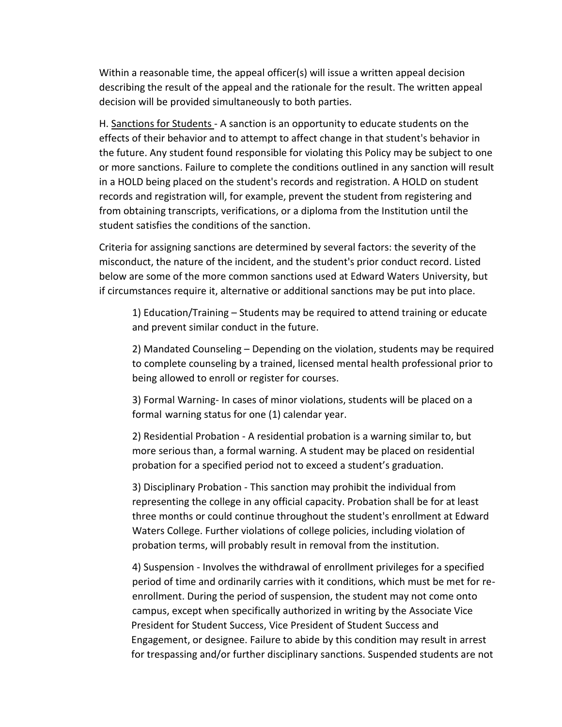Within a reasonable time, the appeal officer(s) will issue a written appeal decision describing the result of the appeal and the rationale for the result. The written appeal decision will be provided simultaneously to both parties.

H. Sanctions for Students - A sanction is an opportunity to educate students on the effects of their behavior and to attempt to affect change in that student's behavior in the future. Any student found responsible for violating this Policy may be subject to one or more sanctions. Failure to complete the conditions outlined in any sanction will result in a HOLD being placed on the student's records and registration. A HOLD on student records and registration will, for example, prevent the student from registering and from obtaining transcripts, verifications, or a diploma from the Institution until the student satisfies the conditions of the sanction.

Criteria for assigning sanctions are determined by several factors: the severity of the misconduct, the nature of the incident, and the student's prior conduct record. Listed below are some of the more common sanctions used at Edward Waters University, but if circumstances require it, alternative or additional sanctions may be put into place.

1) Education/Training – Students may be required to attend training or educate and prevent similar conduct in the future.

2) Mandated Counseling – Depending on the violation, students may be required to complete counseling by a trained, licensed mental health professional prior to being allowed to enroll or register for courses.

3) Formal Warning- In cases of minor violations, students will be placed on a formal warning status for one (1) calendar year.

2) Residential Probation - A residential probation is a warning similar to, but more serious than, a formal warning. A student may be placed on residential probation for a specified period not to exceed a student's graduation.

3) Disciplinary Probation - This sanction may prohibit the individual from representing the college in any official capacity. Probation shall be for at least three months or could continue throughout the student's enrollment at Edward Waters College. Further violations of college policies, including violation of probation terms, will probably result in removal from the institution.

4) Suspension - Involves the withdrawal of enrollment privileges for a specified period of time and ordinarily carries with it conditions, which must be met for reenrollment. During the period of suspension, the student may not come onto campus, except when specifically authorized in writing by the Associate Vice President for Student Success, Vice President of Student Success and Engagement, or designee. Failure to abide by this condition may result in arrest for trespassing and/or further disciplinary sanctions. Suspended students are not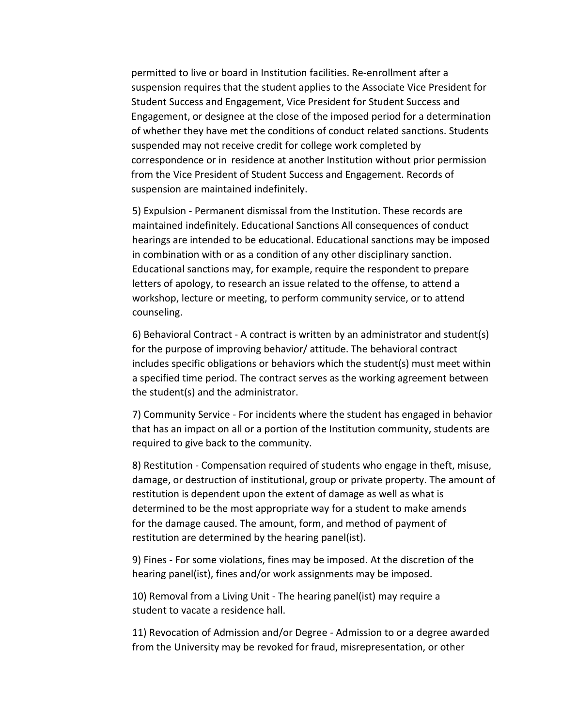permitted to live or board in Institution facilities. Re-enrollment after a suspension requires that the student applies to the Associate Vice President for Student Success and Engagement, Vice President for Student Success and Engagement, or designee at the close of the imposed period for a determination of whether they have met the conditions of conduct related sanctions. Students suspended may not receive credit for college work completed by correspondence or in residence at another Institution without prior permission from the Vice President of Student Success and Engagement. Records of suspension are maintained indefinitely.

5) Expulsion - Permanent dismissal from the Institution. These records are maintained indefinitely. Educational Sanctions All consequences of conduct hearings are intended to be educational. Educational sanctions may be imposed in combination with or as a condition of any other disciplinary sanction. Educational sanctions may, for example, require the respondent to prepare letters of apology, to research an issue related to the offense, to attend a workshop, lecture or meeting, to perform community service, or to attend counseling.

6) Behavioral Contract - A contract is written by an administrator and student(s) for the purpose of improving behavior/ attitude. The behavioral contract includes specific obligations or behaviors which the student(s) must meet within a specified time period. The contract serves as the working agreement between the student(s) and the administrator.

7) Community Service - For incidents where the student has engaged in behavior that has an impact on all or a portion of the Institution community, students are required to give back to the community.

8) Restitution - Compensation required of students who engage in theft, misuse, damage, or destruction of institutional, group or private property. The amount of restitution is dependent upon the extent of damage as well as what is determined to be the most appropriate way for a student to make amends for the damage caused. The amount, form, and method of payment of restitution are determined by the hearing panel(ist).

9) Fines - For some violations, fines may be imposed. At the discretion of the hearing panel(ist), fines and/or work assignments may be imposed.

10) Removal from a Living Unit - The hearing panel(ist) may require a student to vacate a residence hall.

11) Revocation of Admission and/or Degree - Admission to or a degree awarded from the University may be revoked for fraud, misrepresentation, or other